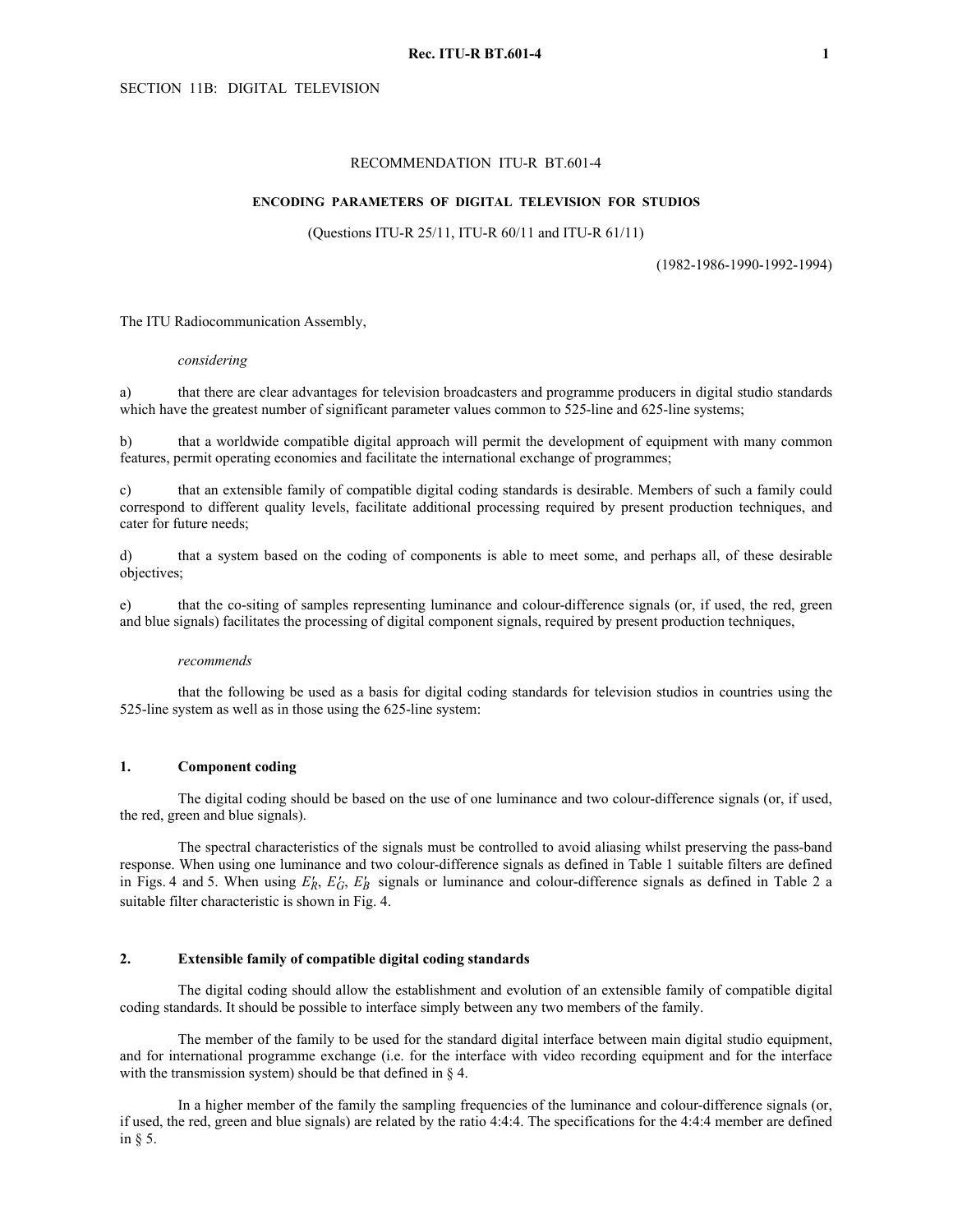### RECOMMENDATION ITU-R BT.601-4

### **ENCODING PARAMETERS OF DIGITAL TELEVISION FOR STUDIOS**

(Questions ITU-R 25/11, ITU-R 60/11 and ITU-R 61/11)

(1982-1986-1990-1992-1994)

The ITU Radiocommunication Assembly,

#### *considering*

a) that there are clear advantages for television broadcasters and programme producers in digital studio standards which have the greatest number of significant parameter values common to 525-line and 625-line systems;

b) that a worldwide compatible digital approach will permit the development of equipment with many common features, permit operating economies and facilitate the international exchange of programmes;

c) that an extensible family of compatible digital coding standards is desirable. Members of such a family could correspond to different quality levels, facilitate additional processing required by present production techniques, and cater for future needs;

d) that a system based on the coding of components is able to meet some, and perhaps all, of these desirable objectives;

e) that the co-siting of samples representing luminance and colour-difference signals (or, if used, the red, green and blue signals) facilitates the processing of digital component signals, required by present production techniques,

#### *recommends*

that the following be used as a basis for digital coding standards for television studios in countries using the 525-line system as well as in those using the 625-line system:

### **1. Component coding**

The digital coding should be based on the use of one luminance and two colour-difference signals (or, if used, the red, green and blue signals).

The spectral characteristics of the signals must be controlled to avoid aliasing whilst preserving the pass-band response. When using one luminance and two colour-difference signals as defined in Table 1 suitable filters are defined in Figs. 4 and 5. When using *ER* , *EG* , *EB* signals or luminance and colour-difference signals as defined in Table 2 a suitable filter characteristic is shown in Fig. 4.

## **2. Extensible family of compatible digital coding standards**

The digital coding should allow the establishment and evolution of an extensible family of compatible digital coding standards. It should be possible to interface simply between any two members of the family.

The member of the family to be used for the standard digital interface between main digital studio equipment, and for international programme exchange (i.e. for the interface with video recording equipment and for the interface with the transmission system) should be that defined in  $\S$  4.

In a higher member of the family the sampling frequencies of the luminance and colour-difference signals (or, if used, the red, green and blue signals) are related by the ratio 4:4:4. The specifications for the 4:4:4 member are defined in § 5.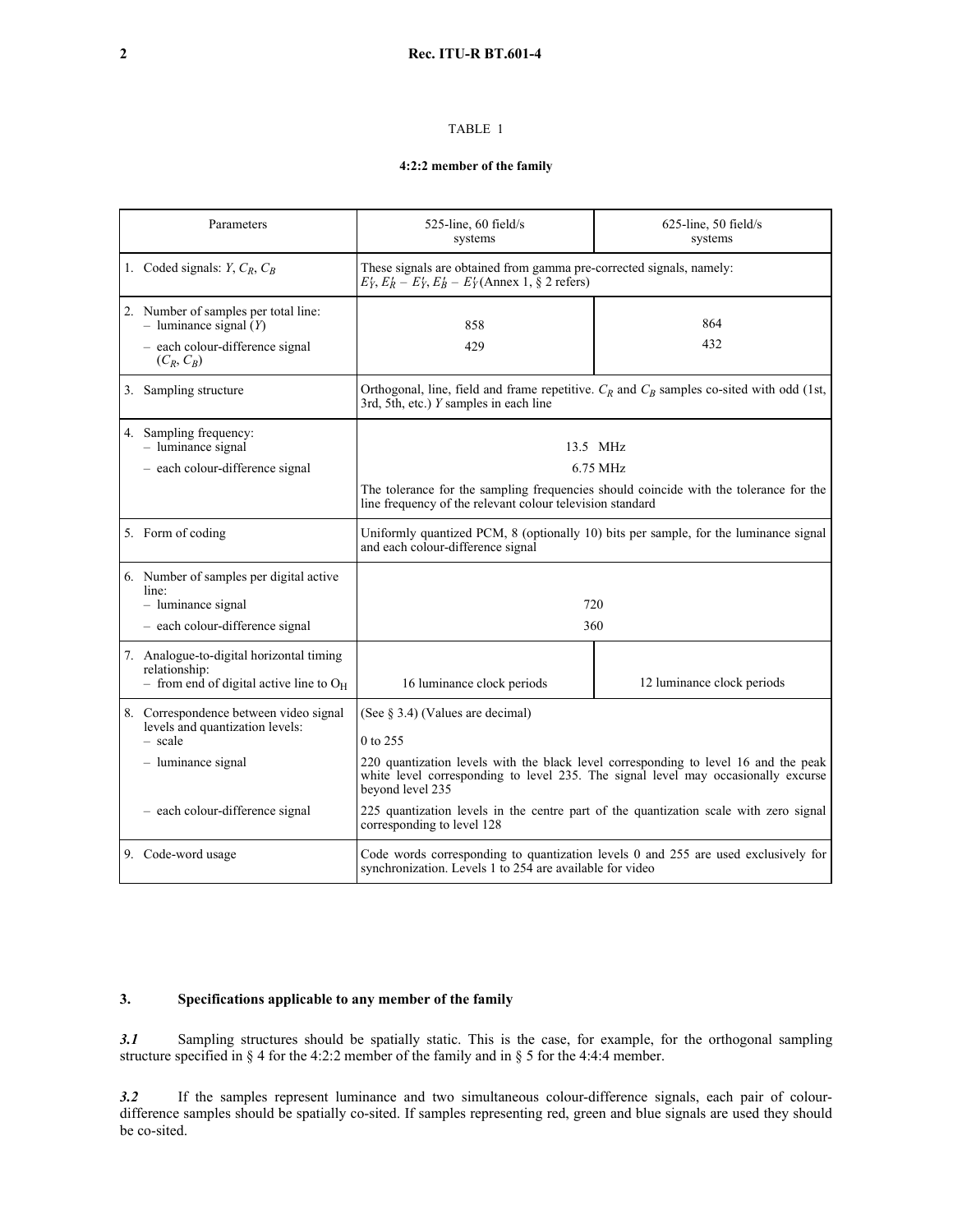# TABLE 1

# **4:2:2 member of the family**

| Parameters |                                                                                                                                                 | 525-line, 60 field/s<br>systems                                                                                                                                                                                                                                                                                                                                          | $625$ -line, 50 field/s<br>systems |  |  |
|------------|-------------------------------------------------------------------------------------------------------------------------------------------------|--------------------------------------------------------------------------------------------------------------------------------------------------------------------------------------------------------------------------------------------------------------------------------------------------------------------------------------------------------------------------|------------------------------------|--|--|
|            | 1. Coded signals: $Y, C_R, C_B$                                                                                                                 | These signals are obtained from gamma pre-corrected signals, namely:<br>$E'_Y, E'_R - E'_Y, E'_B - E'_Y$ (Annex 1, § 2 refers)                                                                                                                                                                                                                                           |                                    |  |  |
|            | 2. Number of samples per total line:<br>- luminance signal $(Y)$<br>$-$ each colour-difference signal<br>$(C_R, C_R)$                           | 858<br>429                                                                                                                                                                                                                                                                                                                                                               | 864<br>432                         |  |  |
|            | 3. Sampling structure                                                                                                                           | Orthogonal, line, field and frame repetitive. $C_R$ and $C_B$ samples co-sited with odd (1st,<br>3rd, 5th, etc.) <i>Y</i> samples in each line                                                                                                                                                                                                                           |                                    |  |  |
|            | 4. Sampling frequency:<br>$-$ luminance signal<br>- each colour-difference signal                                                               | 13.5 MHz<br>$6.75$ MHz<br>The tolerance for the sampling frequencies should coincide with the tolerance for the<br>line frequency of the relevant colour television standard                                                                                                                                                                                             |                                    |  |  |
|            | 5. Form of coding                                                                                                                               | Uniformly quantized PCM, 8 (optionally 10) bits per sample, for the luminance signal<br>and each colour-difference signal                                                                                                                                                                                                                                                |                                    |  |  |
|            | 6. Number of samples per digital active<br>line:<br>$-$ luminance signal<br>$-$ each colour-difference signal                                   | 720<br>360                                                                                                                                                                                                                                                                                                                                                               |                                    |  |  |
|            | 7. Analogue-to-digital horizontal timing<br>relationship:<br>- from end of digital active line to $O_H$                                         | 16 luminance clock periods                                                                                                                                                                                                                                                                                                                                               | 12 luminance clock periods         |  |  |
|            | 8. Correspondence between video signal<br>levels and quantization levels:<br>- scale<br>$-$ luminance signal<br>- each colour-difference signal | (See $\S$ 3.4) (Values are decimal)<br>0 to $255$<br>220 quantization levels with the black level corresponding to level 16 and the peak<br>white level corresponding to level 235. The signal level may occasionally excurse<br>beyond level 235<br>225 quantization levels in the centre part of the quantization scale with zero signal<br>corresponding to level 128 |                                    |  |  |
|            | 9. Code-word usage                                                                                                                              | Code words corresponding to quantization levels 0 and 255 are used exclusively for<br>synchronization. Levels 1 to 254 are available for video                                                                                                                                                                                                                           |                                    |  |  |

# **3. Specifications applicable to any member of the family**

*3.1* Sampling structures should be spatially static. This is the case, for example, for the orthogonal sampling structure specified in § 4 for the 4:2:2 member of the family and in § 5 for the 4:4:4 member.

*3.2* If the samples represent luminance and two simultaneous colour-difference signals, each pair of colourdifference samples should be spatially co-sited. If samples representing red, green and blue signals are used they should be co-sited.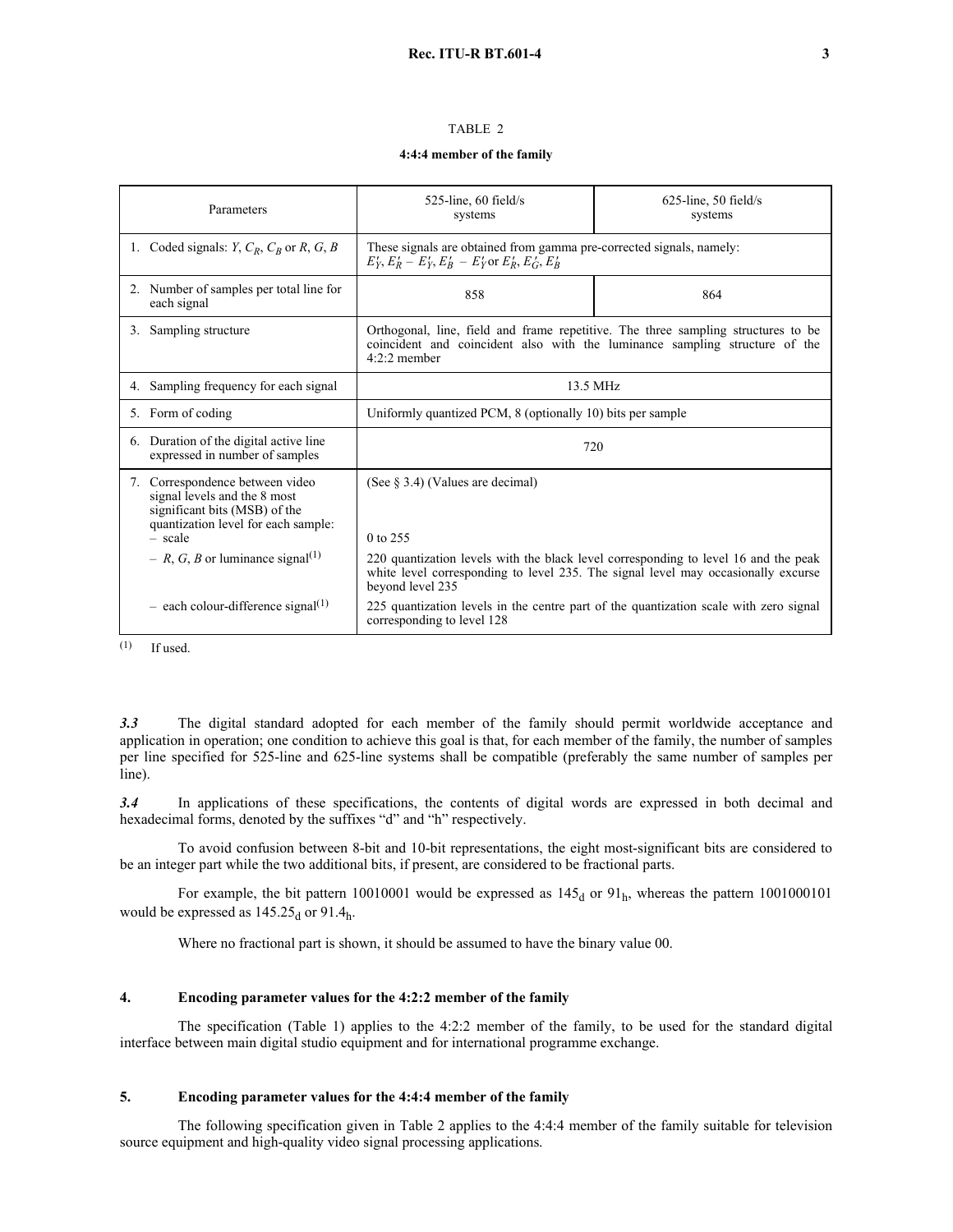## TABLE 2

**4:4:4 member of the family**

| Parameters                                                                                                                                           | $525$ -line, 60 field/s<br>systems                                                                                                                                                                                                                                                                                  | $625$ -line, 50 field/s<br>systems |  |  |
|------------------------------------------------------------------------------------------------------------------------------------------------------|---------------------------------------------------------------------------------------------------------------------------------------------------------------------------------------------------------------------------------------------------------------------------------------------------------------------|------------------------------------|--|--|
| 1. Coded signals: $Y, C_R, C_R$ or $R, G, B$                                                                                                         | These signals are obtained from gamma pre-corrected signals, namely:<br>$E'_Y, E'_R - E'_Y, E'_R - E'_Y$ or $E'_R, E'_G, E'_R$                                                                                                                                                                                      |                                    |  |  |
| 2. Number of samples per total line for<br>each signal                                                                                               | 858                                                                                                                                                                                                                                                                                                                 | 864                                |  |  |
| Sampling structure<br>3.                                                                                                                             | Orthogonal, line, field and frame repetitive. The three sampling structures to be<br>coincident and coincident also with the luminance sampling structure of the<br>$4:2:2$ member                                                                                                                                  |                                    |  |  |
| Sampling frequency for each signal<br>4.                                                                                                             | 13.5 MHz                                                                                                                                                                                                                                                                                                            |                                    |  |  |
| Form of coding<br>5.                                                                                                                                 | Uniformly quantized PCM, 8 (optionally 10) bits per sample                                                                                                                                                                                                                                                          |                                    |  |  |
| 6. Duration of the digital active line<br>expressed in number of samples                                                                             | 720                                                                                                                                                                                                                                                                                                                 |                                    |  |  |
| 7. Correspondence between video<br>signal levels and the 8 most<br>significant bits (MSB) of the<br>quantization level for each sample:<br>$- scale$ | (See $\S$ 3.4) (Values are decimal)<br>0 to 255                                                                                                                                                                                                                                                                     |                                    |  |  |
| - R, G, B or luminance signal <sup>(1)</sup>                                                                                                         | 220 quantization levels with the black level corresponding to level 16 and the peak<br>white level corresponding to level 235. The signal level may occasionally excurse<br>beyond level 235<br>225 quantization levels in the centre part of the quantization scale with zero signal<br>corresponding to level 128 |                                    |  |  |
| $-$ each colour-difference signal <sup>(1)</sup>                                                                                                     |                                                                                                                                                                                                                                                                                                                     |                                    |  |  |

 $(1)$  If used.

*3.3* The digital standard adopted for each member of the family should permit worldwide acceptance and application in operation; one condition to achieve this goal is that, for each member of the family, the number of samples per line specified for 525-line and 625-line systems shall be compatible (preferably the same number of samples per line).

*3.4* In applications of these specifications, the contents of digital words are expressed in both decimal and hexadecimal forms, denoted by the suffixes "d" and "h" respectively.

To avoid confusion between 8-bit and 10-bit representations, the eight most-significant bits are considered to be an integer part while the two additional bits, if present, are considered to be fractional parts.

For example, the bit pattern 10010001 would be expressed as  $145<sub>d</sub>$  or  $91<sub>h</sub>$ , whereas the pattern 1001000101 would be expressed as  $145.25_d$  or  $91.4_h$ .

Where no fractional part is shown, it should be assumed to have the binary value 00.

### **4. Encoding parameter values for the 4:2:2 member of the family**

The specification (Table 1) applies to the 4:2:2 member of the family, to be used for the standard digital interface between main digital studio equipment and for international programme exchange.

### **5. Encoding parameter values for the 4:4:4 member of the family**

The following specification given in Table 2 applies to the 4:4:4 member of the family suitable for television source equipment and high-quality video signal processing applications.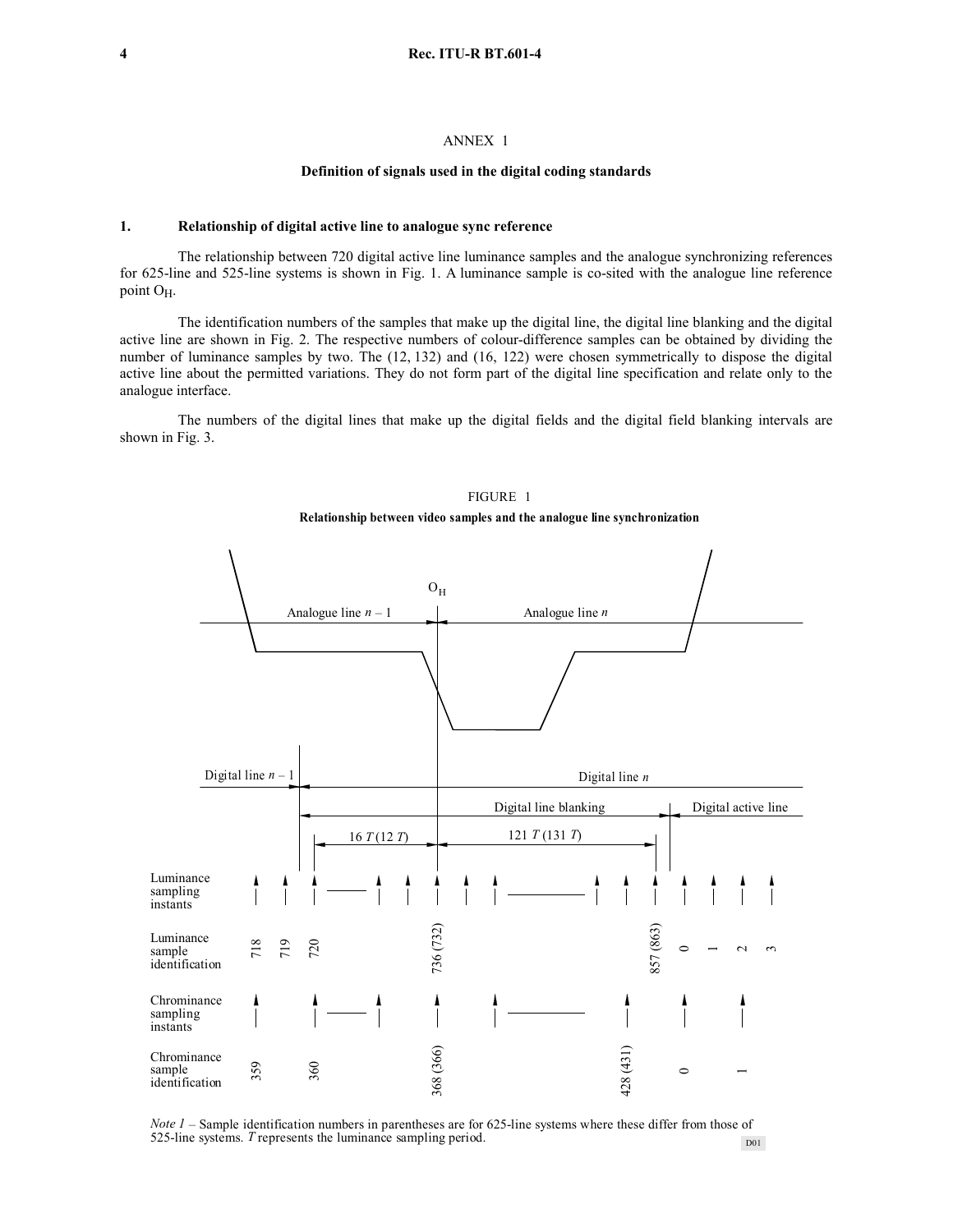## ANNEX 1

### **Definition of signals used in the digital coding standards**

### **1. Relationship of digital active line to analogue sync reference**

The relationship between 720 digital active line luminance samples and the analogue synchronizing references for 625-line and 525-line systems is shown in Fig. 1. A luminance sample is co-sited with the analogue line reference point  $O_{H}$ .

The identification numbers of the samples that make up the digital line, the digital line blanking and the digital active line are shown in Fig. 2. The respective numbers of colour-difference samples can be obtained by dividing the number of luminance samples by two. The (12, 132) and (16, 122) were chosen symmetrically to dispose the digital active line about the permitted variations. They do not form part of the digital line specification and relate only to the analogue interface.

The numbers of the digital lines that make up the digital fields and the digital field blanking intervals are shown in Fig. 3.



FIGURE 1 **Relationship between video samples and the analogue line synchronization**

*Note 1* – Sample identification numbers in parentheses are for 625-line systems where these differ from those of 525-line systems. *T* represents the luminance sampling period. D01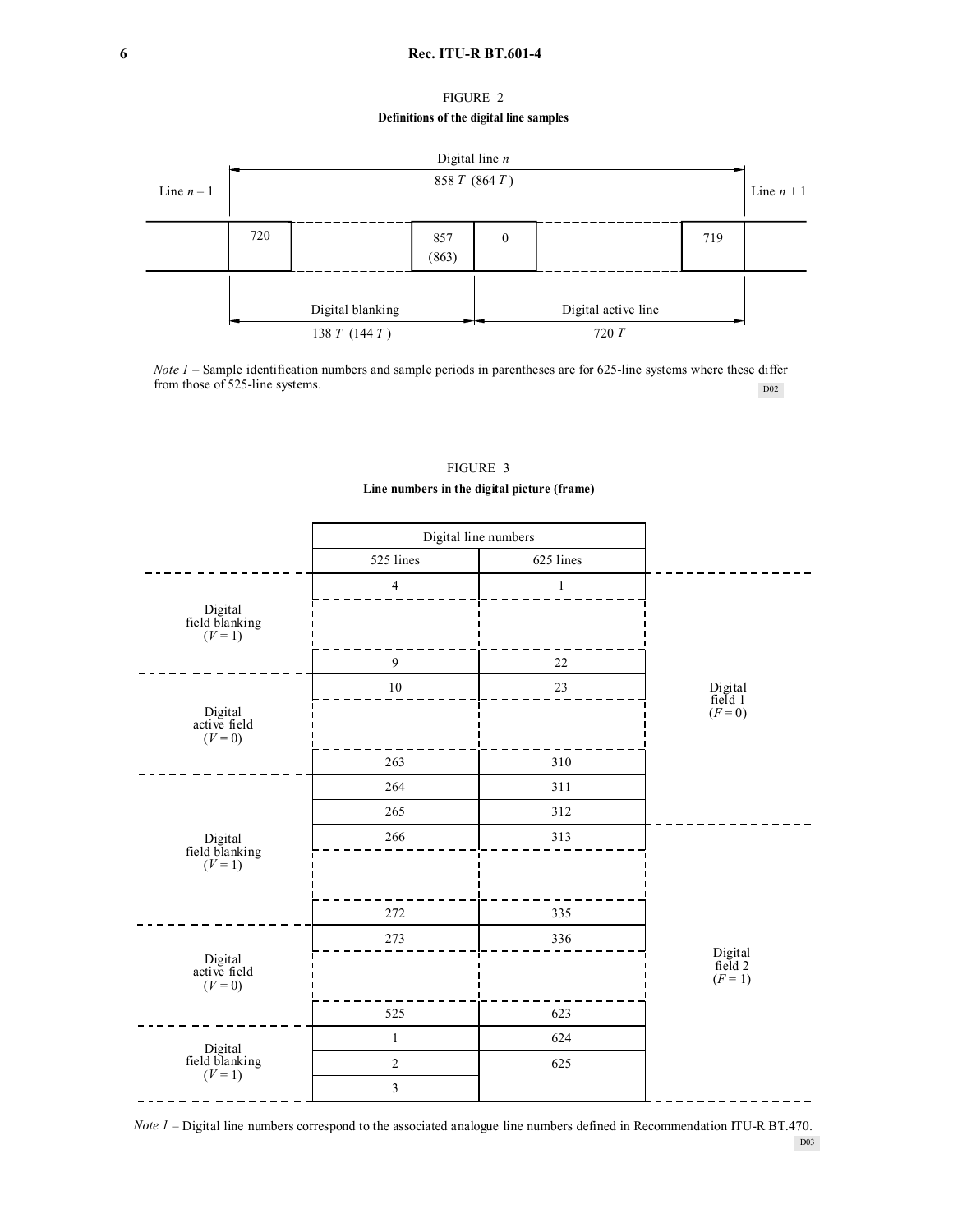### **6 Rec. ITU-R BT.601-4**

# FIGURE 2 **Definitions of the digital line samples**



D02 *Note*  $1$  – Sample identification numbers and sample periods in parentheses are for 625-line systems where these differ from those of 525-line systems.

|                                        | Digital line numbers |              |                                   |
|----------------------------------------|----------------------|--------------|-----------------------------------|
|                                        | 525 lines            | 625 lines    |                                   |
|                                        | $\overline{4}$       | $\mathbf{1}$ |                                   |
| Digital<br>field blanking<br>$(V = 1)$ |                      |              |                                   |
|                                        | 9                    | 22           |                                   |
|                                        | $10\,$               | 23           | Digital<br>field 1                |
| Digital<br>active field<br>$(V = 0)$   |                      |              | $(F = 0)$                         |
|                                        | 263                  | 310          |                                   |
|                                        | 264                  | 311          |                                   |
|                                        | 265                  | 312          |                                   |
| Digital<br>field blanking<br>$(V=1)$   | 266                  | 313          |                                   |
|                                        |                      |              |                                   |
|                                        | 272                  | 335          |                                   |
|                                        | 273                  | 336          |                                   |
| Digital<br>active field<br>$(V = 0)$   |                      |              | Digital<br>field $2$<br>$(F = 1)$ |
|                                        | 525                  | 623          |                                   |
|                                        | $\mathbf{1}$         | 624          |                                   |
| Digital<br>field blanking<br>$(V = 1)$ | $\sqrt{2}$           | 625          |                                   |
|                                        | $\overline{3}$       |              |                                   |

# FIGURE 3 **Line numbers in the digital picture (frame)**

*Note 1* – Digital line numbers correspond to the associated analogue line numbers defined in Recommendation ITU-R BT.470. D03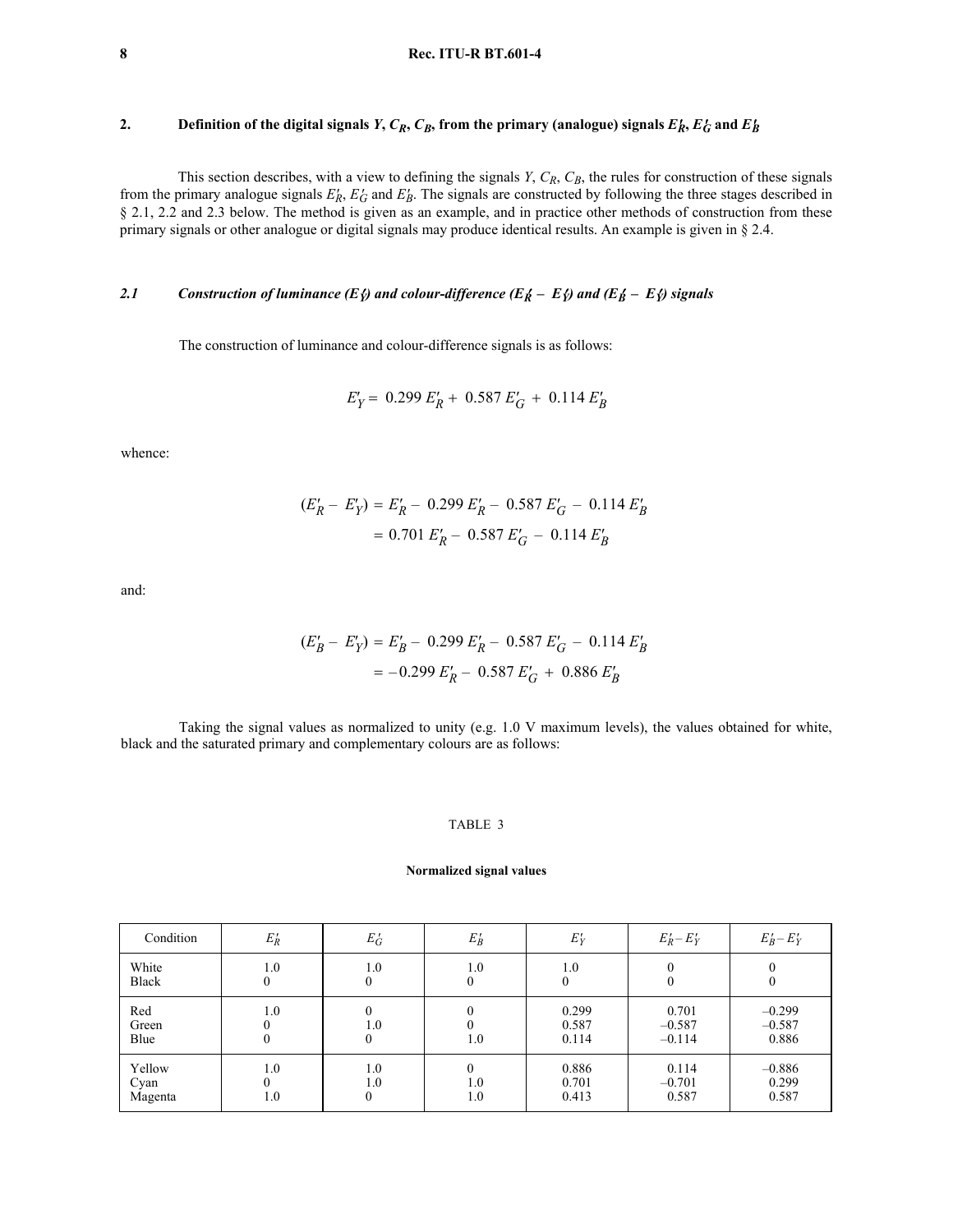# 2. Definition of the digital signals  $Y$ ,  $C_R$ ,  $C_B$ , from the primary (analogue) signals  $E_R$ ,  $E_G$  and  $E_B$

This section describes, with a view to defining the signals *Y*, *CR*, *CB*, the rules for construction of these signals from the primary analogue signals *ER* , *EG* and *EB* . The signals are constructed by following the three stages described in § 2.1, 2.2 and 2.3 below. The method is given as an example, and in practice other methods of construction from these primary signals or other analogue or digital signals may produce identical results. An example is given in § 2.4.

# *2.1 Construction of luminance (EY) and colour-difference (ER – EY) and (EB – EY) signals*

The construction of luminance and colour-difference signals is as follows:

$$
E'_Y = 0.299 E'_R + 0.587 E'_G + 0.114 E'_B
$$

whence:

$$
(E'_R - E'_Y) = E'_R - 0.299 E'_R - 0.587 E'_G - 0.114 E'_B
$$
  
= 0.701 E'\_R - 0.587 E'\_G - 0.114 E'\_B

and:

$$
(E'_B - E'_Y) = E'_B - 0.299 E'_R - 0.587 E'_G - 0.114 E'_B
$$
  
= -0.299 E'\_R - 0.587 E'\_G + 0.886 E'\_B

Taking the signal values as normalized to unity (e.g. 1.0 V maximum levels), the values obtained for white, black and the saturated primary and complementary colours are as follows:

### TABLE 3

### **Normalized signal values**

| Condition                 | $E_R^\prime$ | $E_G$                          | $E'_B$         | $E'_Y$                  | $E'_R - E'_Y$                 | $E'_B - E'_Y$                 |
|---------------------------|--------------|--------------------------------|----------------|-------------------------|-------------------------------|-------------------------------|
| White<br>Black            | 1.0          | 1.0<br>0                       | 1.0            | 1.0                     | $\theta$<br>0                 |                               |
| Red<br>Green<br>Blue      | 1.0          | 0<br>1.0<br>0                  | 1.0            | 0.299<br>0.587<br>0.114 | 0.701<br>$-0.587$<br>$-0.114$ | $-0.299$<br>$-0.587$<br>0.886 |
| Yellow<br>Cyan<br>Magenta | 1.0<br>1.0   | 1.0<br>1.0<br>$\boldsymbol{0}$ | $1.0\,$<br>1.0 | 0.886<br>0.701<br>0.413 | 0.114<br>$-0.701$<br>0.587    | $-0.886$<br>0.299<br>0.587    |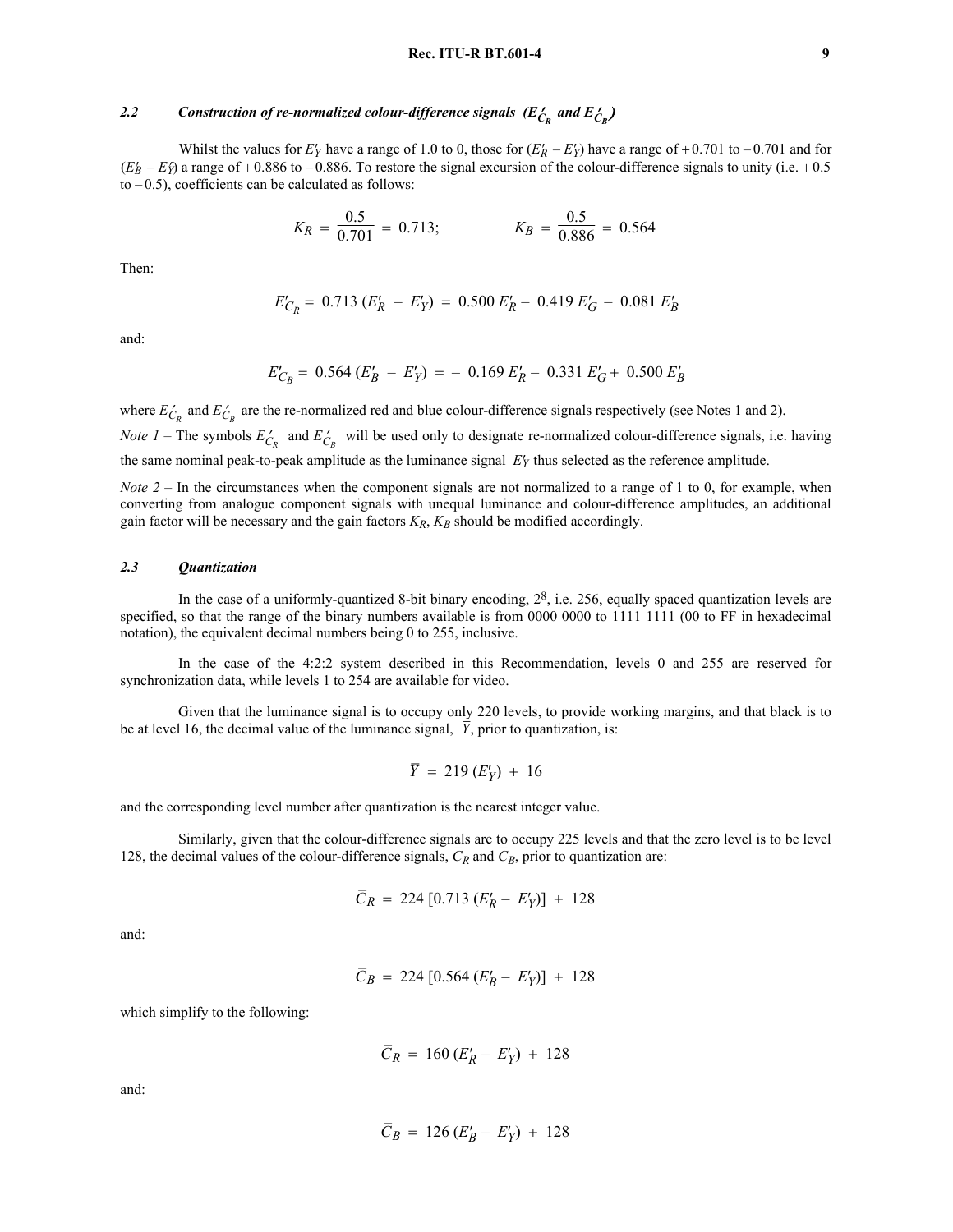# 2.2 *Construction of re-normalized colour-difference signals (* $E'_{C_R}$  *and*  $E'_{C_B}$ *)*

Whilst the values for  $E'_Y$  have a range of 1.0 to 0, those for  $(E'_R - E'_Y)$  have a range of +0.701 to –0.701 and for  $(E_B - E_A^0)$  a range of +0.886 to –0.886. To restore the signal excursion of the colour-difference signals to unity (i.e. +0.5) to  $-0.5$ ), coefficients can be calculated as follows:

$$
K_R = \frac{0.5}{0.701} = 0.713;
$$
  $K_B = \frac{0.5}{0.886} = 0.564$ 

Then:

$$
E'_{C_R} = 0.713 (E'_R - E'_Y) = 0.500 E'_R - 0.419 E'_G - 0.081 E'_B
$$

and:

$$
E'_{C_B} = 0.564 (E'_B - E'_Y) = -0.169 E'_R - 0.331 E'_G + 0.500 E'_B
$$

where  $E'_{C_R}$  and  $E'_{C_B}$  are the re-normalized red and blue colour-difference signals respectively (see Notes 1 and 2). *Note 1* – The symbols  $E'_{C_R}$  and  $E'_{C_B}$  will be used only to designate re-normalized colour-difference signals, i.e. having the same nominal peak-to-peak amplitude as the luminance signal  $E<sub>Y</sub>$  thus selected as the reference amplitude.

*Note 2* – In the circumstances when the component signals are not normalized to a range of 1 to 0, for example, when converting from analogue component signals with unequal luminance and colour-difference amplitudes, an additional gain factor will be necessary and the gain factors  $K_R$ ,  $K_B$  should be modified accordingly.

### *2.3 Quantization*

In the case of a uniformly-quantized 8-bit binary encoding,  $2^8$ , i.e. 256, equally spaced quantization levels are specified, so that the range of the binary numbers available is from 0000 0000 to 1111 1111 (00 to FF in hexadecimal notation), the equivalent decimal numbers being 0 to 255, inclusive.

In the case of the 4:2:2 system described in this Recommendation, levels 0 and 255 are reserved for synchronization data, while levels 1 to 254 are available for video.

Given that the luminance signal is to occupy only 220 levels, to provide working margins, and that black is to be at level 16, the decimal value of the luminance signal,  $\overline{Y}$ , prior to quantization, is:

$$
\overline{Y} = 219 \left( E'_Y \right) + 16
$$

and the corresponding level number after quantization is the nearest integer value.

Similarly, given that the colour-difference signals are to occupy 225 levels and that the zero level is to be level 128, the decimal values of the colour-difference signals,  $\overline{C}_R$  and  $\overline{C}_B$ , prior to quantization are:

$$
\overline{C}_R = 224 [0.713 (E_R' - E_Y')] + 128
$$

and:

$$
\overline{C}_B = 224 [0.564 (E'_B - E'_Y)] + 128
$$

which simplify to the following:

$$
\overline{C}_R = 160 (E_R' - E_Y') + 128
$$

and:

$$
\overline{C}_B = 126 (E'_B - E'_Y) + 128
$$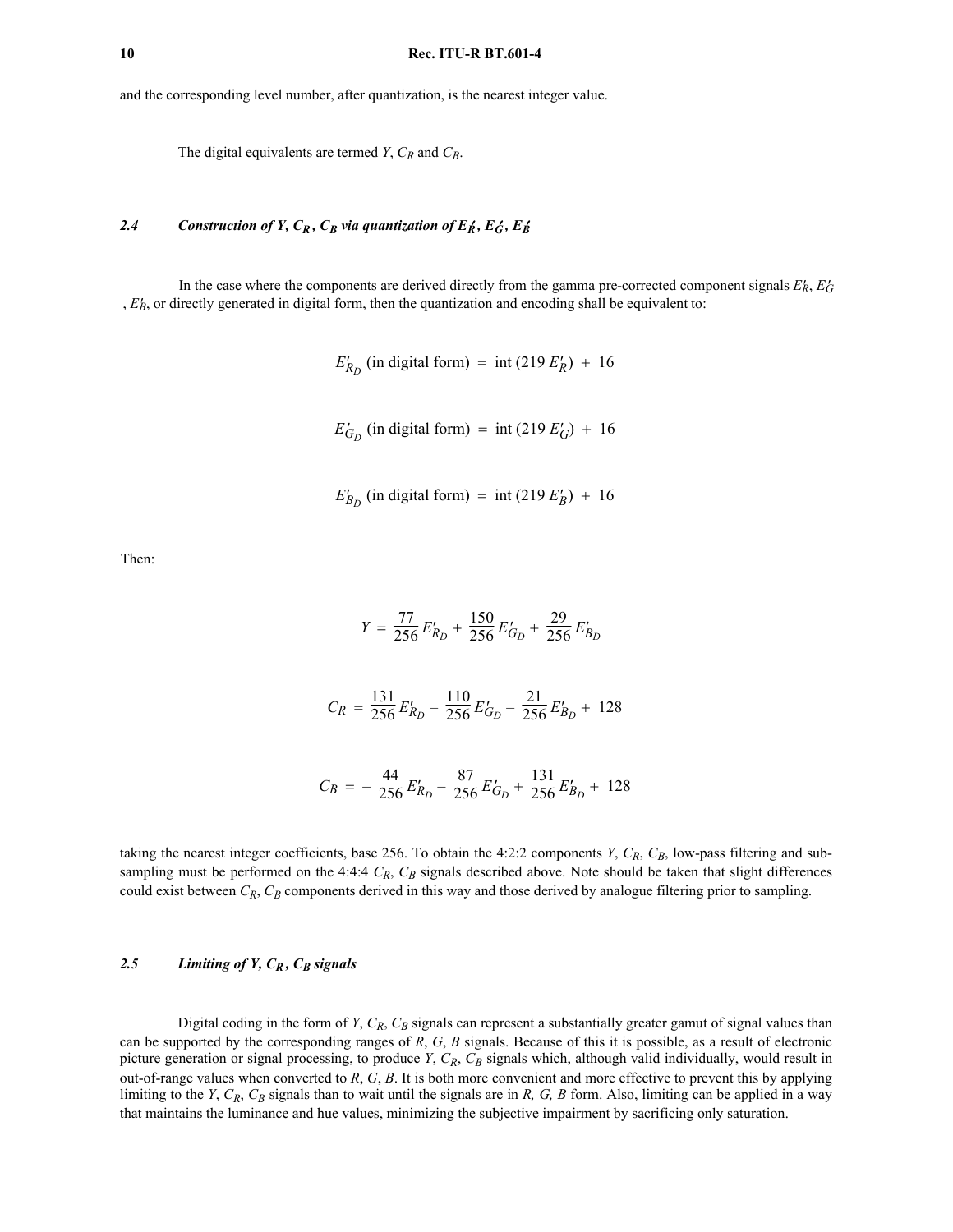and the corresponding level number, after quantization, is the nearest integer value.

The digital equivalents are termed *Y*, *C<sup>R</sup>* and *CB*.

### 2.4 *Construction of Y, C<sub>R</sub>, C<sub>B</sub> via quantization of*  $E_K$ *,*  $E_G$ *,*  $E_B$

In the case where the components are derived directly from the gamma pre-corrected component signals  $E^R$ ,  $E^G$ , *EB* , or directly generated in digital form, then the quantization and encoding shall be equivalent to:

 $E'_{R_D}$  (in digital form) = int (219 *E'<sub>R</sub>*) + 16

 $E'_{G_D}$  (in digital form) = int (219 *E*<sup>*G*</sup>) + 16

$$
E'_{B_D}
$$
 (in digital form) = int (219  $E'_B$ ) + 16

Then:

$$
Y = \frac{77}{256} E'_{R_D} + \frac{150}{256} E'_{G_D} + \frac{29}{256} E'_{B_D}
$$

$$
C_R = \frac{131}{256} E'_{R_D} - \frac{110}{256} E'_{G_D} - \frac{21}{256} E'_{B_D} + 128
$$

$$
C_B = -\frac{44}{256} E'_{R_D} - \frac{87}{256} E'_{G_D} + \frac{131}{256} E'_{B_D} + 128
$$

taking the nearest integer coefficients, base 256. To obtain the 4:2:2 components *Y*, *CR*, *CB*, low-pass filtering and subsampling must be performed on the 4:4:4 *CR*, *C<sup>B</sup>* signals described above. Note should be taken that slight differences could exist between  $C_R$ ,  $C_R$  components derived in this way and those derived by analogue filtering prior to sampling.

# *2.5 Limiting of Y, C<sup>R</sup> , C<sup>B</sup> signals*

Digital coding in the form of *Y*, *CR*, *C<sup>B</sup>* signals can represent a substantially greater gamut of signal values than can be supported by the corresponding ranges of *R*, *G*, *B* signals. Because of this it is possible, as a result of electronic picture generation or signal processing, to produce *Y*, *CR*, *C<sup>B</sup>* signals which, although valid individually, would result in out-of-range values when converted to *R*, *G*, *B*. It is both more convenient and more effective to prevent this by applying limiting to the *Y*, *CR*, *C<sup>B</sup>* signals than to wait until the signals are in *R, G, B* form. Also, limiting can be applied in a way that maintains the luminance and hue values, minimizing the subjective impairment by sacrificing only saturation.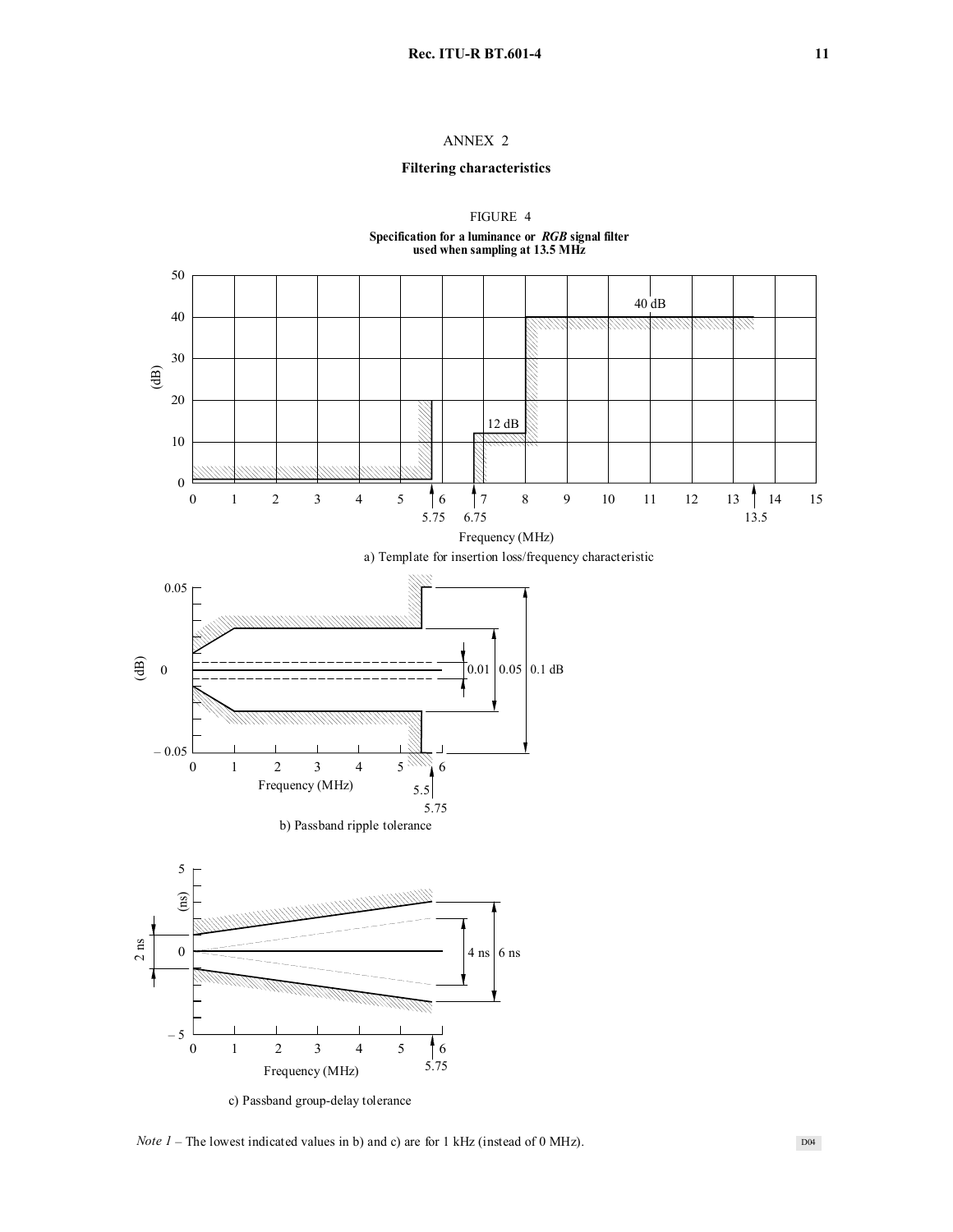# ANNEX 2

### **Filtering characteristics**

FIGURE 4



c) Passband group-delay tolerance

*Note 1* – The lowest indicated values in b) and c) are for 1 kHz (instead of 0 MHz).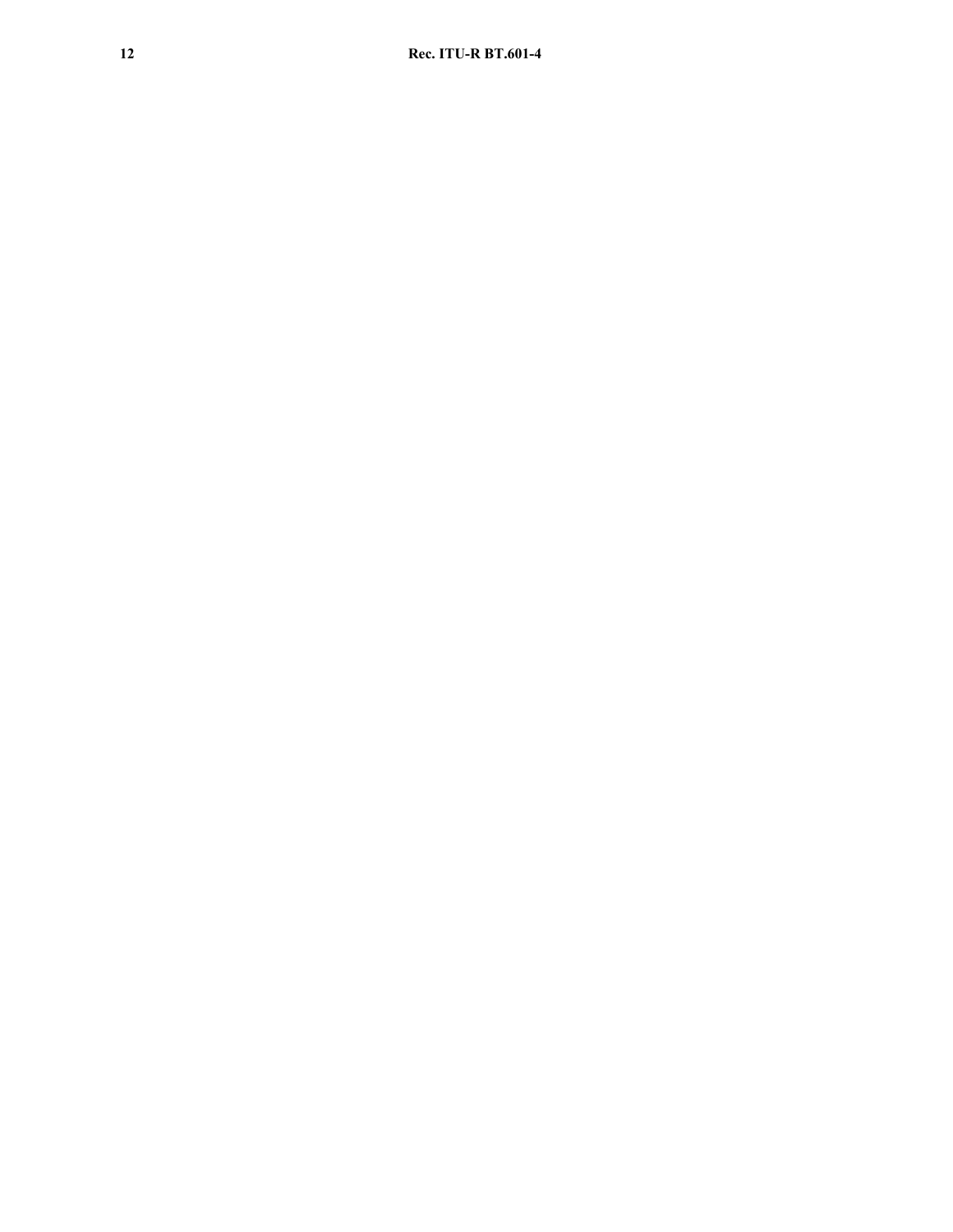**Rec. ITU-R BT.601-4**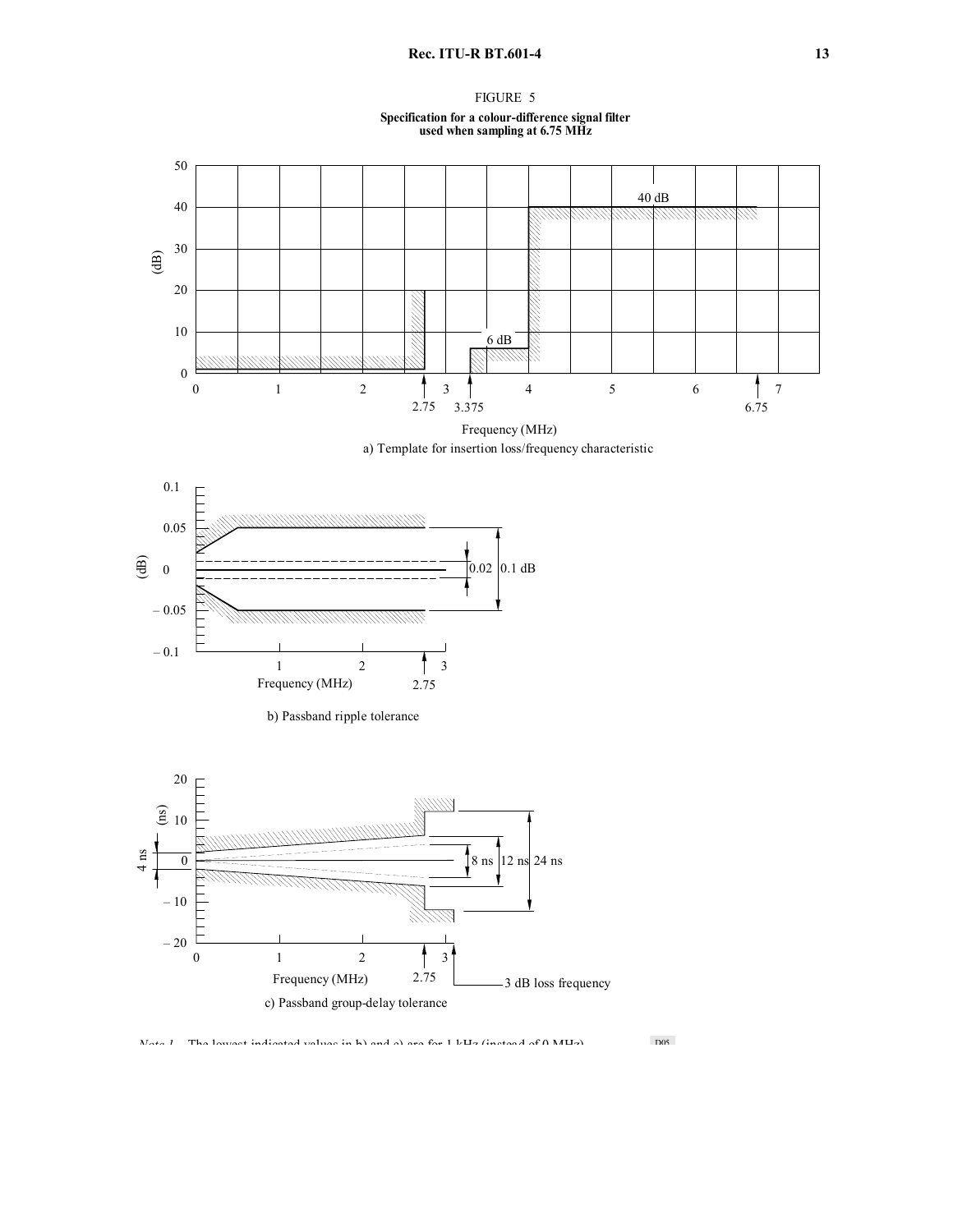FIGURE 5 **Specification for a colour-difference signal filter used when sampling at 6.75 MHz**



a) Template for insertion loss/frequency characteristic







*Note 1* – The lowest indicated values in b) and c) are for 1 kHz (instead of 0 MHz).

D05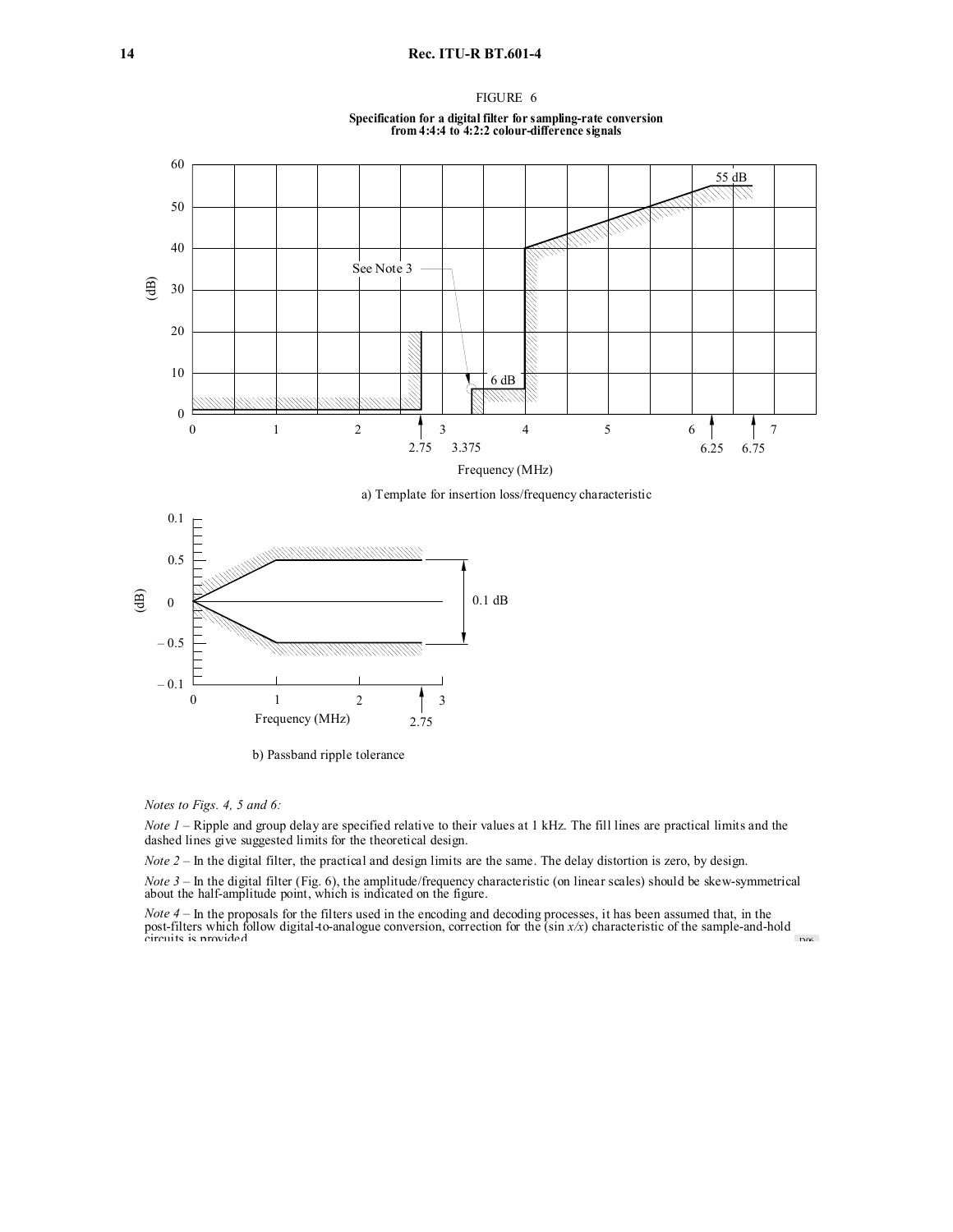





b) Passband ripple tolerance

*Notes to Figs. 4, 5 and 6:*

*Note 1* – Ripple and group delay are specified relative to their values at 1 kHz. The fill lines are practical limits and the dashed lines give suggested limits for the theoretical design.

*Note 2* – In the digital filter, the practical and design limits are the same. The delay distortion is zero, by design.

Note 3 – In the digital filter (Fig. 6), the amplitude/frequency characteristic (on linear scales) should be skew-symmetrical about the half-amplitude point, which is indicated on the figure.

 $D<sup>0</sup>$ *Note*  $4$  – In the proposals for the filters used in the encoding and decoding processes, it has been assumed that, in the post-filters which follow digital-to-analogue conversion, correction for the  $(\sin x/x)$  characterist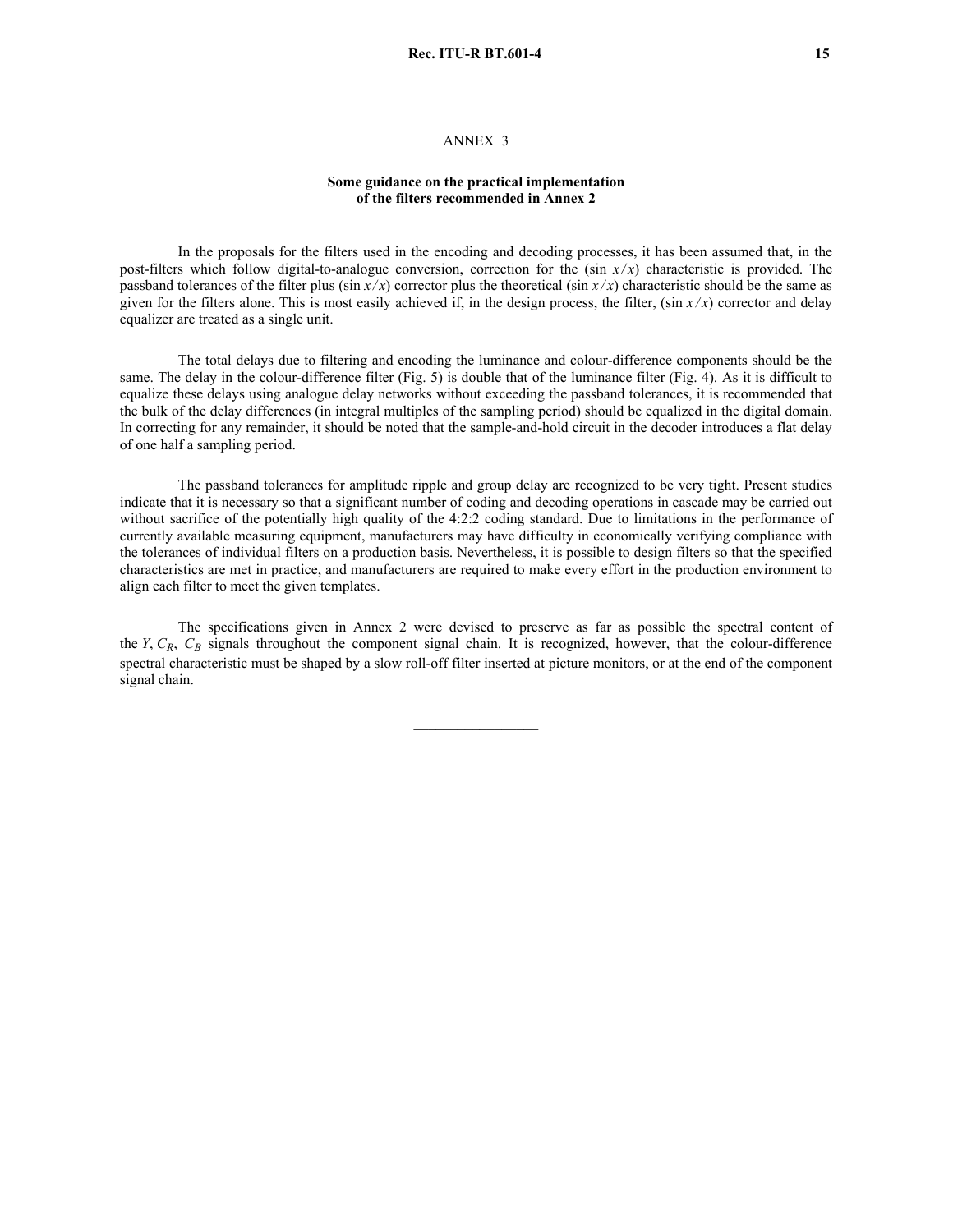### ANNEX 3

### **Some guidance on the practical implementation of the filters recommended in Annex 2**

In the proposals for the filters used in the encoding and decoding processes, it has been assumed that, in the post-filters which follow digital-to-analogue conversion, correction for the  $(\sin x/x)$  characteristic is provided. The passband tolerances of the filter plus (sin  $x/x$ ) corrector plus the theoretical (sin  $x/x$ ) characteristic should be the same as given for the filters alone. This is most easily achieved if, in the design process, the filter,  $(\sin x/x)$  corrector and delay equalizer are treated as a single unit.

The total delays due to filtering and encoding the luminance and colour-difference components should be the same. The delay in the colour-difference filter (Fig. 5) is double that of the luminance filter (Fig. 4). As it is difficult to equalize these delays using analogue delay networks without exceeding the passband tolerances, it is recommended that the bulk of the delay differences (in integral multiples of the sampling period) should be equalized in the digital domain. In correcting for any remainder, it should be noted that the sample-and-hold circuit in the decoder introduces a flat delay of one half a sampling period.

The passband tolerances for amplitude ripple and group delay are recognized to be very tight. Present studies indicate that it is necessary so that a significant number of coding and decoding operations in cascade may be carried out without sacrifice of the potentially high quality of the 4:2:2 coding standard. Due to limitations in the performance of currently available measuring equipment, manufacturers may have difficulty in economically verifying compliance with the tolerances of individual filters on a production basis. Nevertheless, it is possible to design filters so that the specified characteristics are met in practice, and manufacturers are required to make every effort in the production environment to align each filter to meet the given templates.

The specifications given in Annex 2 were devised to preserve as far as possible the spectral content of the *Y*,  $C_R$ ,  $C_R$  signals throughout the component signal chain. It is recognized, however, that the colour-difference spectral characteristic must be shaped by a slow roll-off filter inserted at picture monitors, or at the end of the component signal chain.

 $\mathcal{L}=\mathcal{L}^{\mathcal{L}}$